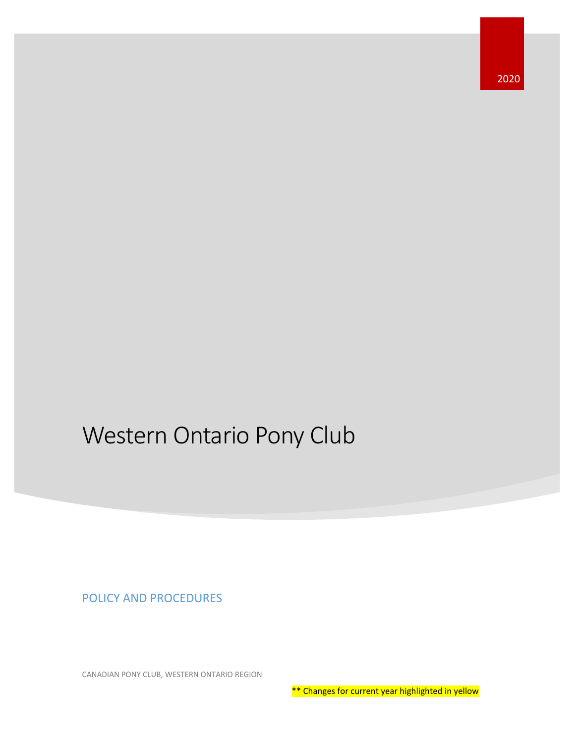2020

# Western Ontario Pony Club

POLICY AND PROCEDURES

CANADIAN PONY CLUB, WESTERN ONTARIO REGION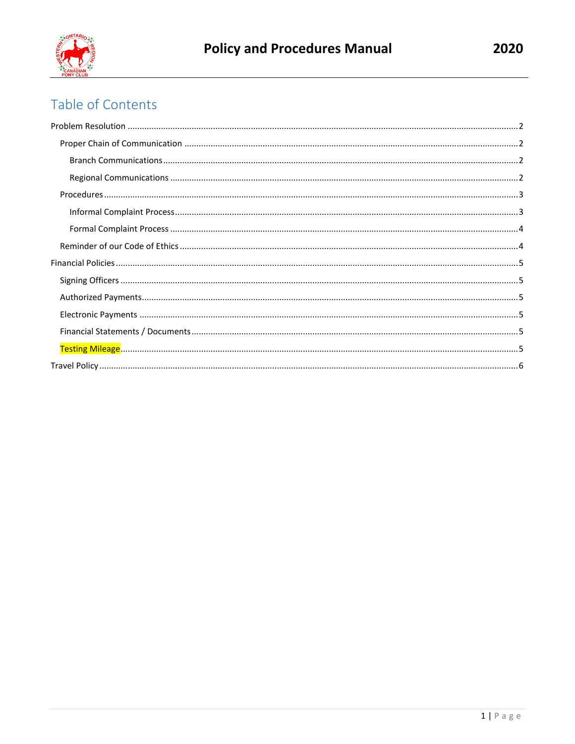

## Table of Contents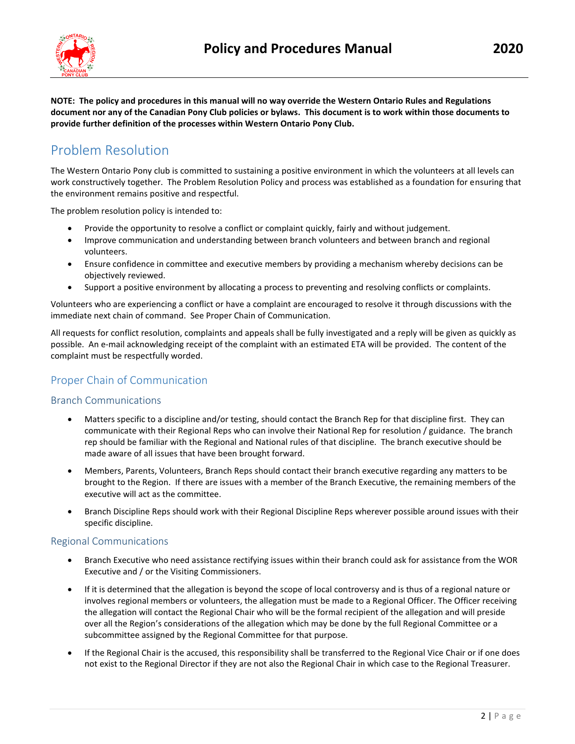

**NOTE: The policy and procedures in this manual will no way override the Western Ontario Rules and Regulations** 

**document nor any of the Canadian Pony Club policies or bylaws. This document is to work within those documents to provide further definition of the processes within Western Ontario Pony Club.**

### <span id="page-2-0"></span>Problem Resolution

The Western Ontario Pony club is committed to sustaining a positive environment in which the volunteers at all levels can work constructively together. The Problem Resolution Policy and process was established as a foundation for ensuring that the environment remains positive and respectful.

The problem resolution policy is intended to:

- Provide the opportunity to resolve a conflict or complaint quickly, fairly and without judgement.
- Improve communication and understanding between branch volunteers and between branch and regional volunteers.
- Ensure confidence in committee and executive members by providing a mechanism whereby decisions can be objectively reviewed.
- Support a positive environment by allocating a process to preventing and resolving conflicts or complaints.

Volunteers who are experiencing a conflict or have a complaint are encouraged to resolve it through discussions with the immediate next chain of command. See Proper Chain of Communication.

All requests for conflict resolution, complaints and appeals shall be fully investigated and a reply will be given as quickly as possible. An e-mail acknowledging receipt of the complaint with an estimated ETA will be provided. The content of the complaint must be respectfully worded.

### <span id="page-2-1"></span>Proper Chain of Communication

#### <span id="page-2-2"></span>Branch Communications

- Matters specific to a discipline and/or testing, should contact the Branch Rep for that discipline first. They can communicate with their Regional Reps who can involve their National Rep for resolution / guidance. The branch rep should be familiar with the Regional and National rules of that discipline. The branch executive should be made aware of all issues that have been brought forward.
- Members, Parents, Volunteers, Branch Reps should contact their branch executive regarding any matters to be brought to the Region. If there are issues with a member of the Branch Executive, the remaining members of the executive will act as the committee.
- Branch Discipline Reps should work with their Regional Discipline Reps wherever possible around issues with their specific discipline.

#### <span id="page-2-3"></span>Regional Communications

- Branch Executive who need assistance rectifying issues within their branch could ask for assistance from the WOR Executive and / or the Visiting Commissioners.
- If it is determined that the allegation is beyond the scope of local controversy and is thus of a regional nature or involves regional members or volunteers, the allegation must be made to a Regional Officer. The Officer receiving the allegation will contact the Regional Chair who will be the formal recipient of the allegation and will preside over all the Region's considerations of the allegation which may be done by the full Regional Committee or a subcommittee assigned by the Regional Committee for that purpose.
- If the Regional Chair is the accused, this responsibility shall be transferred to the Regional Vice Chair or if one does not exist to the Regional Director if they are not also the Regional Chair in which case to the Regional Treasurer.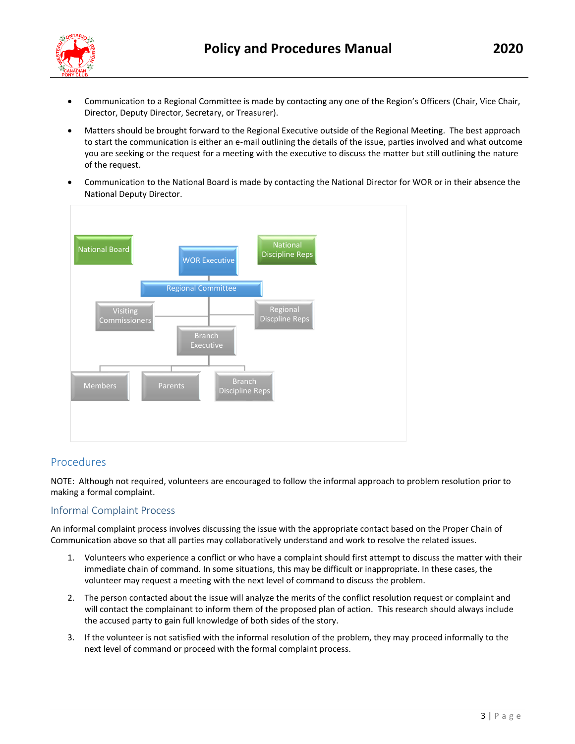

- Communication to a Regional Committee is made by contacting any one of the Region's Officers (Chair, Vice Chair,
- Matters should be brought forward to the Regional Executive outside of the Regional Meeting. The best approach to start the communication is either an e-mail outlining the details of the issue, parties involved and what outcome you are seeking or the request for a meeting with the executive to discuss the matter but still outlining the nature of the request.
- Communication to the National Board is made by contacting the National Director for WOR or in their absence the National Deputy Director.



Director, Deputy Director, Secretary, or Treasurer).

### <span id="page-3-0"></span>Procedures

NOTE: Although not required, volunteers are encouraged to follow the informal approach to problem resolution prior to making a formal complaint.

### <span id="page-3-1"></span>Informal Complaint Process

An informal complaint process involves discussing the issue with the appropriate contact based on the Proper Chain of Communication above so that all parties may collaboratively understand and work to resolve the related issues.

- 1. Volunteers who experience a conflict or who have a complaint should first attempt to discuss the matter with their immediate chain of command. In some situations, this may be difficult or inappropriate. In these cases, the volunteer may request a meeting with the next level of command to discuss the problem.
- 2. The person contacted about the issue will analyze the merits of the conflict resolution request or complaint and will contact the complainant to inform them of the proposed plan of action. This research should always include the accused party to gain full knowledge of both sides of the story.
- 3. If the volunteer is not satisfied with the informal resolution of the problem, they may proceed informally to the next level of command or proceed with the formal complaint process.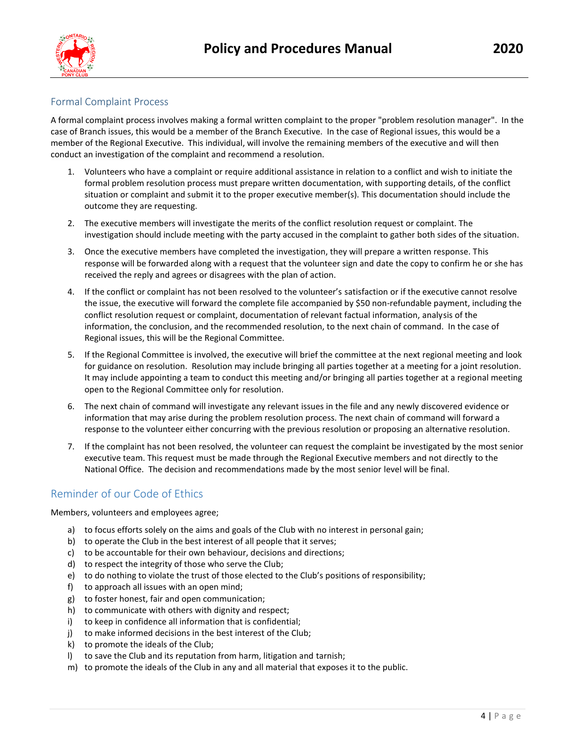

### <span id="page-4-0"></span>Formal Complaint Process

A formal complaint process involves making a formal written complaint to the proper "problem resolution manager". In the case of Branch issues, this would be a member of the Branch Executive. In the case of Regional issues, this would be a member of the Regional Executive. This individual, will involve the remaining members of the executive and will then conduct an investigation of the complaint and recommend a resolution.

- 1. Volunteers who have a complaint or require additional assistance in relation to a conflict and wish to initiate the formal problem resolution process must prepare written documentation, with supporting details, of the conflict situation or complaint and submit it to the proper executive member(s). This documentation should include the outcome they are requesting.
- 2. The executive members will investigate the merits of the conflict resolution request or complaint. The investigation should include meeting with the party accused in the complaint to gather both sides of the situation.
- 3. Once the executive members have completed the investigation, they will prepare a written response. This response will be forwarded along with a request that the volunteer sign and date the copy to confirm he or she has received the reply and agrees or disagrees with the plan of action.
- 4. If the conflict or complaint has not been resolved to the volunteer's satisfaction or if the executive cannot resolve the issue, the executive will forward the complete file accompanied by \$50 non-refundable payment, including the conflict resolution request or complaint, documentation of relevant factual information, analysis of the information, the conclusion, and the recommended resolution, to the next chain of command. In the case of Regional issues, this will be the Regional Committee.
- 5. If the Regional Committee is involved, the executive will brief the committee at the next regional meeting and look for guidance on resolution. Resolution may include bringing all parties together at a meeting for a joint resolution. It may include appointing a team to conduct this meeting and/or bringing all parties together at a regional meeting open to the Regional Committee only for resolution.
- 6. The next chain of command will investigate any relevant issues in the file and any newly discovered evidence or information that may arise during the problem resolution process. The next chain of command will forward a response to the volunteer either concurring with the previous resolution or proposing an alternative resolution.
- 7. If the complaint has not been resolved, the volunteer can request the complaint be investigated by the most senior executive team. This request must be made through the Regional Executive members and not directly to the National Office. The decision and recommendations made by the most senior level will be final.

### <span id="page-4-1"></span>Reminder of our Code of Ethics

Members, volunteers and employees agree;

- a) to focus efforts solely on the aims and goals of the Club with no interest in personal gain;
- b) to operate the Club in the best interest of all people that it serves;
- c) to be accountable for their own behaviour, decisions and directions;
- d) to respect the integrity of those who serve the Club;
- e) to do nothing to violate the trust of those elected to the Club's positions of responsibility;
- f) to approach all issues with an open mind;
- g) to foster honest, fair and open communication;
- h) to communicate with others with dignity and respect;
- i) to keep in confidence all information that is confidential;
- j) to make informed decisions in the best interest of the Club;
- k) to promote the ideals of the Club;
- l) to save the Club and its reputation from harm, litigation and tarnish;
- m) to promote the ideals of the Club in any and all material that exposes it to the public.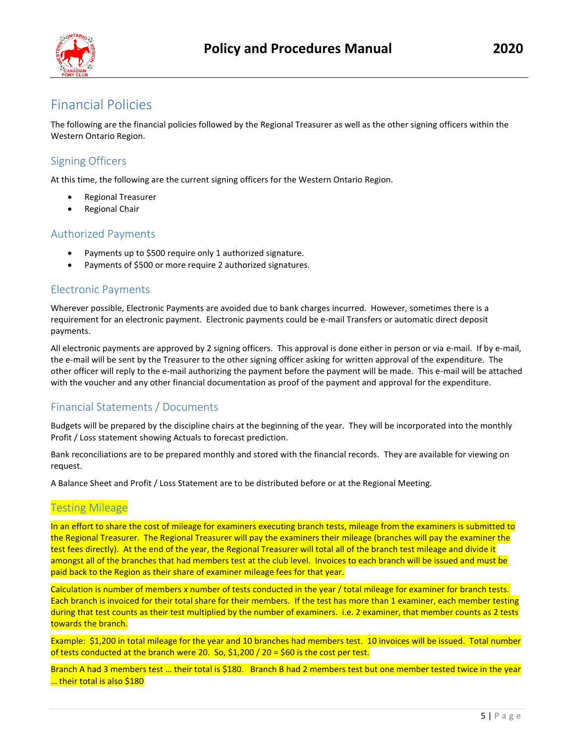

### <span id="page-5-0"></span>Financial Policies

The following are the financial policies followed by the Regional Treasurer as well as the other signing officers within the Western Ontario Region.

### <span id="page-5-1"></span>Signing Officers

At this time, the following are the current signing officers for the Western Ontario Region.

- Regional Treasurer
- Regional Chair

### <span id="page-5-2"></span>Authorized Payments

- Payments up to \$500 require only 1 authorized signature.
- Payments of \$500 or more require 2 authorized signatures.

### <span id="page-5-3"></span>Electronic Payments

Wherever possible, Electronic Payments are avoided due to bank charges incurred. However, sometimes there is a requirement for an electronic payment. Electronic payments could be e-mail Transfers or automatic direct deposit payments.

All electronic payments are approved by 2 signing officers. This approval is done either in person or via e-mail. If by e-mail, the e-mail will be sent by the Treasurer to the other signing officer asking for written approval of the expenditure. The other officer will reply to the e-mail authorizing the payment before the payment will be made. This e-mail will be attached with the voucher and any other financial documentation as proof of the payment and approval for the expenditure.

### <span id="page-5-4"></span>Financial Statements / Documents

Budgets will be prepared by the discipline chairs at the beginning of the year. They will be incorporated into the monthly Profit / Loss statement showing Actuals to forecast prediction.

Bank reconciliations are to be prepared monthly and stored with the financial records. They are available for viewing on request.

<span id="page-5-5"></span>A Balance Sheet and Profit / Loss Statement are to be distributed before or at the Regional Meeting.

### Testing Mileage

In an effort to share the cost of mileage for examiners executing branch tests, mileage from the examiners is submitted to the Regional Treasurer. The Regional Treasurer will pay the examiners their mileage (branches will pay the examiner the test fees directly). At the end of the year, the Regional Treasurer will total all of the branch test mileage and divide it amongst all of the branches that had members test at the club level. Invoices to each branch will be issued and must be paid back to the Region as their share of examiner mileage fees for that year.

Calculation is number of members x number of tests conducted in the year / total mileage for examiner for branch tests. Each branch is invoiced for their total share for their members. If the test has more than 1 examiner, each member testing during that test counts as their test multiplied by the number of examiners. i.e. 2 examiner, that member counts as 2 tests towards the branch.

Example: \$1,200 in total mileage for the year and 10 branches had members test. 10 invoices will be issued. Total number of tests conducted at the branch were 20. So, \$1,200 / 20 = \$60 is the cost per test.

Branch A had 3 members test … their total is \$180. Branch B had 2 members test but one member tested twice in the year ... their total is also \$180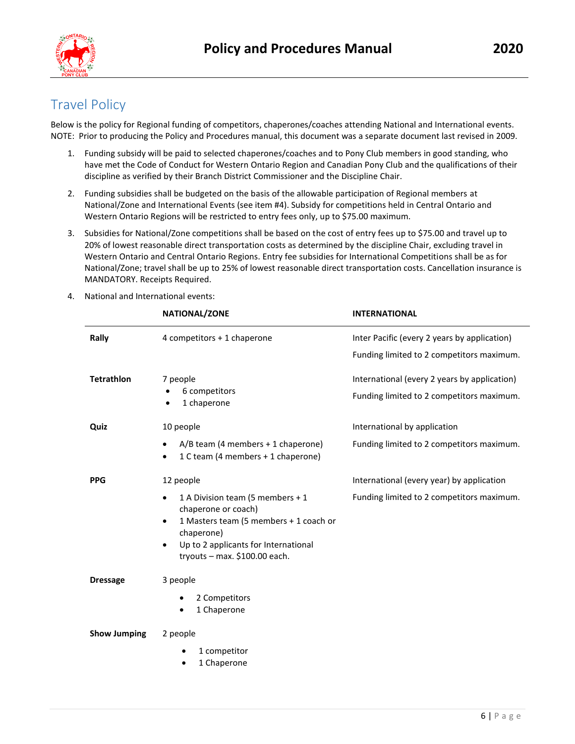

### <span id="page-6-0"></span>Travel Policy

Below is the policy for Regional funding of competitors, chaperones/coaches attending National and International events. NOTE: Prior to producing the Policy and Procedures manual, this document was a separate document last revised in 2009.

- 1. Funding subsidy will be paid to selected chaperones/coaches and to Pony Club members in good standing, who have met the Code of Conduct for Western Ontario Region and Canadian Pony Club and the qualifications of their discipline as verified by their Branch District Commissioner and the Discipline Chair.
- 2. Funding subsidies shall be budgeted on the basis of the allowable participation of Regional members at National/Zone and International Events (see item #4). Subsidy for competitions held in Central Ontario and Western Ontario Regions will be restricted to entry fees only, up to \$75.00 maximum.
- 3. Subsidies for National/Zone competitions shall be based on the cost of entry fees up to \$75.00 and travel up to 20% of lowest reasonable direct transportation costs as determined by the discipline Chair, excluding travel in Western Ontario and Central Ontario Regions. Entry fee subsidies for International Competitions shall be as for National/Zone; travel shall be up to 25% of lowest reasonable direct transportation costs. Cancellation insurance is MANDATORY. Receipts Required.

**NATIONAL/ZONE INTERNATIONAL**

| Rally               | 4 competitors + 1 chaperone                                                                                                                                                                                                       | Inter Pacific (every 2 years by application) |
|---------------------|-----------------------------------------------------------------------------------------------------------------------------------------------------------------------------------------------------------------------------------|----------------------------------------------|
|                     |                                                                                                                                                                                                                                   | Funding limited to 2 competitors maximum.    |
| <b>Tetrathlon</b>   | 7 people                                                                                                                                                                                                                          | International (every 2 years by application) |
|                     | 6 competitors<br>1 chaperone                                                                                                                                                                                                      | Funding limited to 2 competitors maximum.    |
| Quiz                | 10 people                                                                                                                                                                                                                         | International by application                 |
|                     | A/B team (4 members + 1 chaperone)<br>1 C team (4 members + 1 chaperone)                                                                                                                                                          | Funding limited to 2 competitors maximum.    |
| <b>PPG</b>          | 12 people                                                                                                                                                                                                                         | International (every year) by application    |
|                     | 1 A Division team (5 members + 1<br>$\bullet$<br>chaperone or coach)<br>1 Masters team (5 members + 1 coach or<br>$\bullet$<br>chaperone)<br>Up to 2 applicants for International<br>$\bullet$<br>tryouts $-$ max. \$100.00 each. | Funding limited to 2 competitors maximum.    |
| <b>Dressage</b>     | 3 people                                                                                                                                                                                                                          |                                              |
|                     | 2 Competitors<br>1 Chaperone                                                                                                                                                                                                      |                                              |
| <b>Show Jumping</b> | 2 people                                                                                                                                                                                                                          |                                              |
|                     | 1 competitor                                                                                                                                                                                                                      |                                              |
|                     | 1 Chaperone                                                                                                                                                                                                                       |                                              |

4. National and International events: